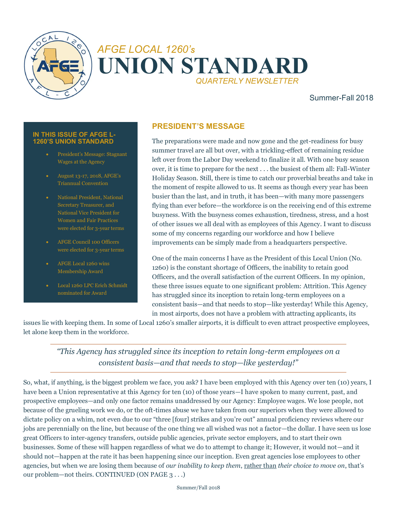

# *AFGE LOCAL 1260'<sup>S</sup>* **UNION STANDARD** *QUARTERLY NEWSLETTER*

### Summer-Fall 2018

#### **IN THIS ISSUE OF AFGE L-1260'S UNION STANDARD**

- President's Message: Stagnant Wages at the Agency
- August 13-17, 2018, AFGE's Triannual Convention
- National President, National Secretary Treasurer, and National Vice President for Women and Fair Practices were elected for 3-year terms
- AFGE Council 100 Officers were elected for 3-year terms
- Membership Award
- Local 1260 LPC Erich Schmidt nominated for Award

### **PRESIDENT'S MESSAGE**

The preparations were made and now gone and the get-readiness for busy summer travel are all but over, with a trickling-effect of remaining residue left over from the Labor Day weekend to finalize it all. With one busy season over, it is time to prepare for the next . . . the busiest of them all: Fall-Winter Holiday Season. Still, there is time to catch our proverbial breaths and take in the moment of respite allowed to us. It seems as though every year has been busier than the last, and in truth, it has been—with many more passengers flying than ever before—the workforce is on the receiving end of this extreme busyness. With the busyness comes exhaustion, tiredness, stress, and a host of other issues we all deal with as employees of this Agency. I want to discuss some of my concerns regarding our workforce and how I believe improvements can be simply made from a headquarters perspective.

One of the main concerns I have as the President of this Local Union (No. 1260) is the constant shortage of Officers, the inability to retain good Officers, and the overall satisfaction of the current Officers. In my opinion, these three issues equate to one significant problem: Attrition. This Agency has struggled since its inception to retain long-term employees on a consistent basis—and that needs to stop—like yesterday! While this Agency, in most airports, does not have a problem with attracting applicants, its

issues lie with keeping them. In some of Local 1260's smaller airports, it is difficult to even attract prospective employees, let alone keep them in the workforce.

*"This Agency has struggled since its inception to retain long-term employees on a consistent basis—and that needs to stop—like yesterday!"*

So, what, if anything, is the biggest problem we face, you ask? I have been employed with this Agency over ten (10) years, I have been a Union representative at this Agency for ten (10) of those years—I have spoken to many current, past, and prospective employees—and only one factor remains unaddressed by our Agency: Employee wages. We lose people, not because of the grueling work we do, or the oft-times abuse we have taken from our superiors when they were allowed to dictate policy on a whim, not even due to our "three [four] strikes and you're out" annual proficiency reviews where our jobs are perennially on the line, but because of the one thing we all wished was not a factor—the dollar. I have seen us lose great Officers to inter-agency transfers, outside public agencies, private sector employers, and to start their own businesses. Some of these will happen regardless of what we do to attempt to change it; However, it would not—and it should not—happen at the rate it has been happening since our inception. Even great agencies lose employees to other agencies, but when we are losing them because of *our inability to keep them*, rather than *their choice to move on*, that's our problem—not theirs. CONTINUED (ON PAGE 3 . . .)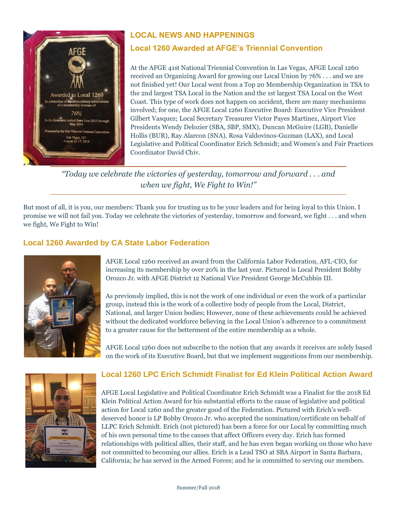

# **LOCAL NEWS AND HAPPENINGS**

# **Local 1260 Awarded at AFGE's Triennial Convention**

At the AFGE 41st National Triennial Convention in Las Vegas, AFGE Local 1260 received an Organizing Award for growing our Local Union by 76% . . . and we are not finished yet! Our Local went from a Top 20 Membership Organization in TSA to the 2nd largest TSA Local in the Nation and the 1st largest TSA Local on the West Coast. This type of work does not happen on accident, there are many mechanisms involved; for one, the AFGE Local 1260 Executive Board: Executive Vice President [Gilbert Vasquez;](https://www.facebook.com/gilberto.l.vasquez?fref=mentions&__xts__%5B0%5D=68.ARAuGfzwI6rUQCOw2x-HO7oh833RNCU82kFZXvzovFOUEbkzmACkAEfRi1kZ2P_knCm5P59uG0vy4-emqPID0GCsnEt7lP0LsGGk75V8KIDiQ2yqiRTV3wUfr_zJpax1LAeuH1JXZxxWYlok9GtRGMkmaLaQNT3Smf-QrH09K2J-Lwaa9c1etIM&__tn__=K-R) Local Secretary Treasurer [Victor Payes Martinez,](https://www.facebook.com/vpayesm?fref=mentions&__xts__%5B0%5D=68.ARAuGfzwI6rUQCOw2x-HO7oh833RNCU82kFZXvzovFOUEbkzmACkAEfRi1kZ2P_knCm5P59uG0vy4-emqPID0GCsnEt7lP0LsGGk75V8KIDiQ2yqiRTV3wUfr_zJpax1LAeuH1JXZxxWYlok9GtRGMkmaLaQNT3Smf-QrH09K2J-Lwaa9c1etIM&__tn__=K-R) Airport Vice Presidents [Wendy Delozier](https://www.facebook.com/wendy.delozier.9?fref=mentions&__xts__%5B0%5D=68.ARAuGfzwI6rUQCOw2x-HO7oh833RNCU82kFZXvzovFOUEbkzmACkAEfRi1kZ2P_knCm5P59uG0vy4-emqPID0GCsnEt7lP0LsGGk75V8KIDiQ2yqiRTV3wUfr_zJpax1LAeuH1JXZxxWYlok9GtRGMkmaLaQNT3Smf-QrH09K2J-Lwaa9c1etIM&__tn__=K-R) (SBA, SBP, SMX)[, Duncan McGuire](https://www.facebook.com/duncan.mcguire?fref=mentions&__xts__%5B0%5D=68.ARAuGfzwI6rUQCOw2x-HO7oh833RNCU82kFZXvzovFOUEbkzmACkAEfRi1kZ2P_knCm5P59uG0vy4-emqPID0GCsnEt7lP0LsGGk75V8KIDiQ2yqiRTV3wUfr_zJpax1LAeuH1JXZxxWYlok9GtRGMkmaLaQNT3Smf-QrH09K2J-Lwaa9c1etIM&__tn__=K-R) (LGB)[, Danielle](https://www.facebook.com/NEBLUV?fref=mentions&__xts__%5B0%5D=68.ARAuGfzwI6rUQCOw2x-HO7oh833RNCU82kFZXvzovFOUEbkzmACkAEfRi1kZ2P_knCm5P59uG0vy4-emqPID0GCsnEt7lP0LsGGk75V8KIDiQ2yqiRTV3wUfr_zJpax1LAeuH1JXZxxWYlok9GtRGMkmaLaQNT3Smf-QrH09K2J-Lwaa9c1etIM&__tn__=K-R)  [Hollis](https://www.facebook.com/NEBLUV?fref=mentions&__xts__%5B0%5D=68.ARAuGfzwI6rUQCOw2x-HO7oh833RNCU82kFZXvzovFOUEbkzmACkAEfRi1kZ2P_knCm5P59uG0vy4-emqPID0GCsnEt7lP0LsGGk75V8KIDiQ2yqiRTV3wUfr_zJpax1LAeuH1JXZxxWYlok9GtRGMkmaLaQNT3Smf-QrH09K2J-Lwaa9c1etIM&__tn__=K-R) (BUR), Ray Alarcon (SNA), Rosa Valdovinos-Guzman (LAX), and Local Legislative and Political Coordinator [Erich Schmidt;](https://www.facebook.com/erich.schmidt.54540?fref=mentions&__xts__%5B0%5D=68.ARAuGfzwI6rUQCOw2x-HO7oh833RNCU82kFZXvzovFOUEbkzmACkAEfRi1kZ2P_knCm5P59uG0vy4-emqPID0GCsnEt7lP0LsGGk75V8KIDiQ2yqiRTV3wUfr_zJpax1LAeuH1JXZxxWYlok9GtRGMkmaLaQNT3Smf-QrH09K2J-Lwaa9c1etIM&__tn__=K-R) and Women's and Fair Practices Coordinator David Chiv.

*"Today we celebrate the victories of yesterday, tomorrow and forward . . . and when we fight, We Fight to Win!"*

But most of all, it is you, our members: Thank you for trusting us to be your leaders and for being loyal to this Union. I promise we will not fail you. Today we celebrate the victories of yesterday, tomorrow and forward, we fight . . . and when we fight, We Fight to Win!

### **Local 1260 Awarded by CA State Labor Federation**



AFGE Local 1260 received an award from the California Labor Federation, AFL-CIO, for increasing its membership by over 20% in the last year. Pictured is Local President Bobby Orozco Jr. with AFGE District 12 National Vice President George McCubbin III.

As previously implied, this is not the work of one individual or even the work of a particular group, instead this is the work of a collective body of people from the Local, District, National, and larger Union bodies; However, none of these achievements could be achieved without the dedicated workforce believing in the Local Union's adherence to a commitment to a greater cause for the betterment of the entire membership as a whole.

AFGE Local 1260 does not subscribe to the notion that any awards it receives are solely based on the work of its Executive Board, but that we implement suggestions from our membership.



#### **Local 1260 LPC Erich Schmidt Finalist for Ed Klein Political Action Award**

AFGE Local Legislative and Political Coordinator Erich Schmidt was a Finalist for the 2018 Ed Klein Political Action Award for his substantial efforts to the cause of legislative and political action for Local 1260 and the greater good of the Federation. Pictured with Erich's welldeserved honor is LP Bobby Orozco Jr. who accepted the nomination/certificate on behalf of LLPC Erich Schmidt. Erich (not pictured) has been a force for our Local by committing much of his own personal time to the causes that affect Officers every day. Erich has formed relationships with political allies, their staff, and he has even began working on those who have not committed to becoming our allies. Erich is a Lead TSO at SBA Airport in Santa Barbara, California; he has served in the Armed Forces; and he is committed to serving our members.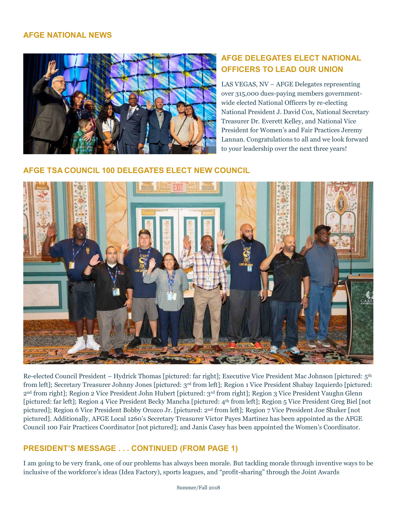### **AFGE NATIONAL NEWS**



# **AFGE DELEGATES ELECT NATIONAL OFFICERS TO LEAD OUR UNION**

LAS VEGAS, NV – AFGE Delegates representing over 315,000 dues-paying members governmentwide elected National Officers by re-electing National President J. David Cox, National Secretary Treasurer Dr. Everett Kelley, and National Vice President for Women's and Fair Practices Jeremy Lannan. Congratulations to all and we look forward to your leadership over the next three years!

### **AFGE TSA COUNCIL 100 DELEGATES ELECT NEW COUNCIL**



Re-elected Council President – Hydrick Thomas [pictured: far right]; Executive Vice President Mac Johnson [pictured: 5th from left]; Secretary Treasurer Johnny Jones [pictured: 3rd from left]; Region 1 Vice President Shabay Izquierdo [pictured: 2nd from right]; Region 2 Vice President John Hubert [pictured: 3rd from right]; Region 3 Vice President Vaughn Glenn [pictured: far left]; Region 4 Vice President Becky Mancha [pictured: 4th from left]; Region 5 Vice President Greg Biel [not pictured]; Region 6 Vice President Bobby Orozco Jr. [pictured: 2nd from left]; Region 7 Vice President Joe Shuker [not pictured]. Additionally, AFGE Local 1260's Secretary Treasurer Victor Payes Martinez has been appointed as the AFGE Council 100 Fair Practices Coordinator [not pictured]; and Janis Casey has been appointed the Women's Coordinator.

### **PRESIDENT'S MESSAGE . . . CONTINUED (FROM PAGE 1)**

I am going to be very frank, one of our problems has always been morale. But tackling morale through inventive ways to be inclusive of the workforce's ideas (Idea Factory), sports leagues, and "profit-sharing" through the Joint Awards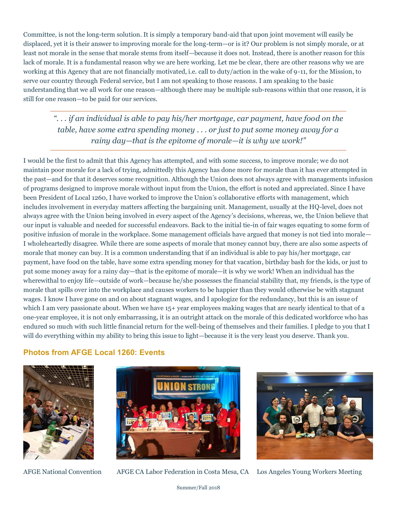Committee, is not the long-term solution. It is simply a temporary band-aid that upon joint movement will easily be displaced, yet it is their answer to improving morale for the long-term—or is it? Our problem is not simply morale, or at least not morale in the sense that morale stems from itself—because it does not. Instead, there is another reason for this lack of morale. It is a fundamental reason why we are here working. Let me be clear, there are other reasons why we are working at this Agency that are not financially motivated, i.e. call to duty/action in the wake of 9-11, for the Mission, to serve our country through Federal service, but I am not speaking to those reasons. I am speaking to the basic understanding that we all work for one reason—although there may be multiple sub-reasons within that one reason, it is still for one reason—to be paid for our services.

*". . . if an individual is able to pay his/her mortgage, car payment, have food on the table, have some extra spending money . . . or just to put some money away for a rainy day—that is the epitome of morale—it is why we work!"* 

I would be the first to admit that this Agency has attempted, and with some success, to improve morale; we do not maintain poor morale for a lack of trying, admittedly this Agency has done more for morale than it has ever attempted in the past—and for that it deserves some recognition. Although the Union does not always agree with managements infusion of programs designed to improve morale without input from the Union, the effort is noted and appreciated. Since I have been President of Local 1260, I have worked to improve the Union's collaborative efforts with management, which includes involvement in everyday matters affecting the bargaining unit. Management, usually at the HQ-level, does not always agree with the Union being involved in every aspect of the Agency's decisions, whereas, we, the Union believe that our input is valuable and needed for successful endeavors. Back to the initial tie-in of fair wages equating to some form of positive infusion of morale in the workplace. Some management officials have argued that money is not tied into morale— I wholeheartedly disagree. While there are some aspects of morale that money cannot buy, there are also some aspects of morale that money can buy. It is a common understanding that if an individual is able to pay his/her mortgage, car payment, have food on the table, have some extra spending money for that vacation, birthday bash for the kids, or just to put some money away for a rainy day—that is the epitome of morale—it is why we work! When an individual has the wherewithal to enjoy life—outside of work—because he/she possesses the financial stability that, my friends, is the type of morale that spills over into the workplace and causes workers to be happier than they would otherwise be with stagnant wages. I know I have gone on and on about stagnant wages, and I apologize for the redundancy, but this is an issue of which I am very passionate about. When we have  $15+$  year employees making wages that are nearly identical to that of a one-year employee, it is not only embarrassing, it is an outright attack on the morale of this dedicated workforce who has endured so much with such little financial return for the well-being of themselves and their families. I pledge to you that I will do everything within my ability to bring this issue to light—because it is the very least you deserve. Thank you.

### **Photos from AFGE Local 1260: Events**





AFGE National Convention AFGE CA Labor Federation in Costa Mesa, CA Los Angeles Young Workers Meeting